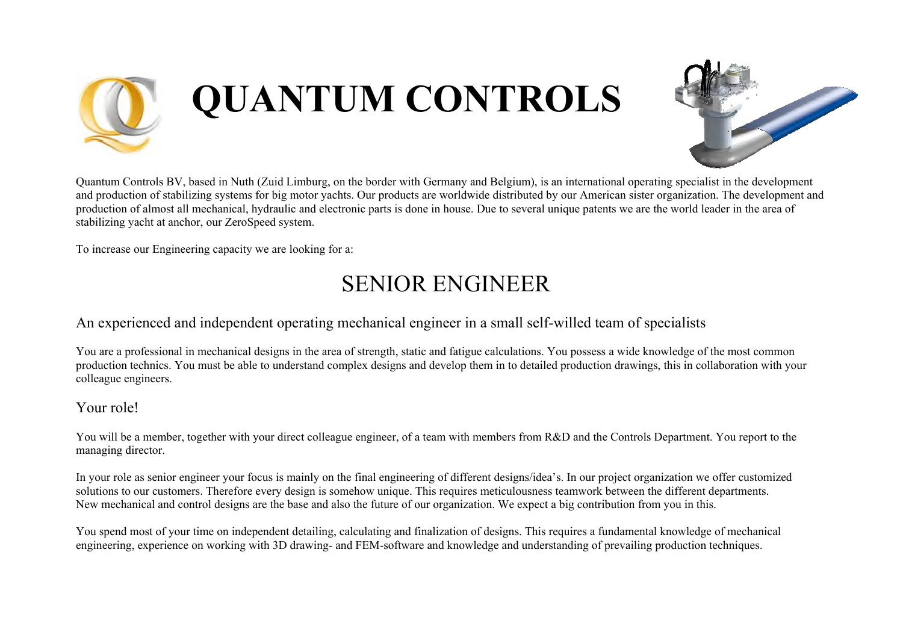

# **QUANTUM CONTROLS**



Quantum Controls BV, based in Nuth (Zuid Limburg, on the border with Germany and Belgium), is an international operating specialist in the development and production of stabilizing systems for big motor yachts. Our products are worldwide distributed by our American sister organization. The development and production of almost all mechanical, hydraulic and electronic parts is done in house. Due to several unique patents we are the world leader in the area of stabilizing yacht at anchor, our ZeroSpeed system.

To increase our Engineering capacity we are looking for a:

## SENIOR ENGINEER

### An experienced and independent operating mechanical engineer in a small self-willed team of specialists

You are a professional in mechanical designs in the area of strength, static and fatigue calculations. You possess a wide knowledge of the most common production technics. You must be able to understand complex designs and develop them in to detailed production drawings, this in collaboration with your colleague engineers.

#### Your role!

You will be a member, together with your direct colleague engineer, of a team with members from R&D and the Controls Department. You report to the managing director.

In your role as senior engineer your focus is mainly on the final engineering of different designs/idea's. In our project organization we offer customized solutions to our customers. Therefore every design is somehow unique. This requires meticulousness teamwork between the different departments. New mechanical and control designs are the base and also the future of our organization. We expect a big contribution from you in this.

You spend most of your time on independent detailing, calculating and finalization of designs. This requires a fundamental knowledge of mechanical engineering, experience on working with 3D drawing- and FEM-software and knowledge and understanding of prevailing production techniques.